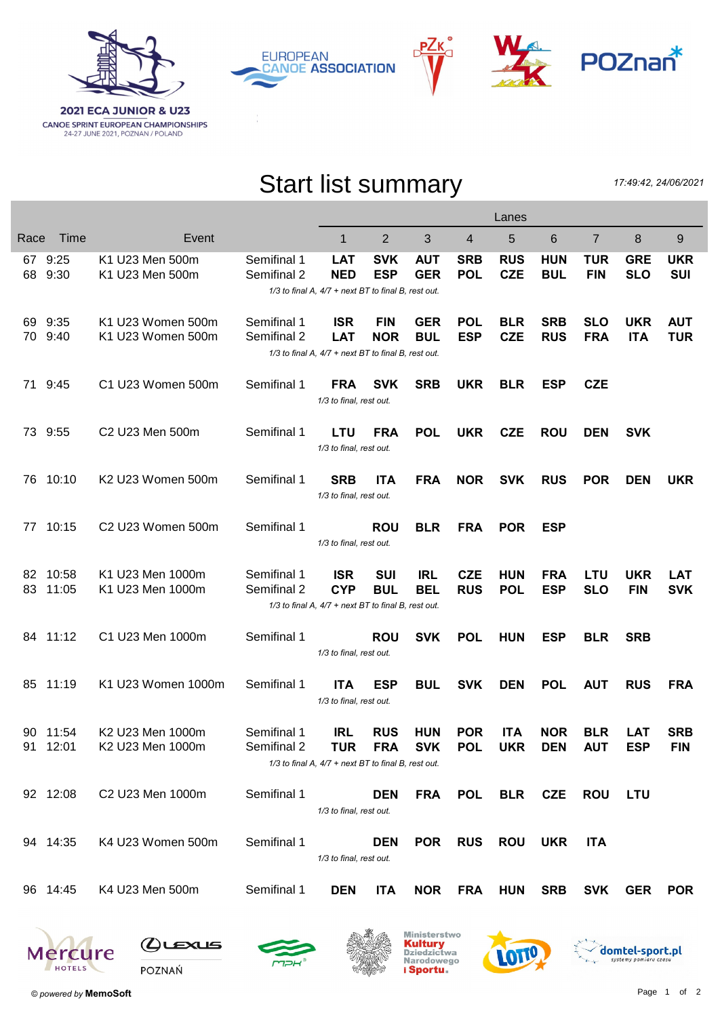







## Start list summary

17:49:42, 24/06/2021

|      |                      |                                      |                            |                                                     |                          |                          |                          | Lanes      |                           |                |            |                          |
|------|----------------------|--------------------------------------|----------------------------|-----------------------------------------------------|--------------------------|--------------------------|--------------------------|------------|---------------------------|----------------|------------|--------------------------|
| Race | Time                 | Event                                |                            | 1                                                   | $\overline{2}$           | 3                        | $\overline{4}$           | 5          | 6                         | $\overline{7}$ | 8          | 9                        |
|      | 67 9:25              | K1 U23 Men 500m                      | Semifinal 1                | <b>LAT</b>                                          | <b>SVK</b>               | <b>AUT</b>               | <b>SRB</b>               | <b>RUS</b> | <b>HUN</b>                | <b>TUR</b>     | <b>GRE</b> | <b>UKR</b>               |
|      | 68 9:30              | K1 U23 Men 500m                      | Semifinal 2                | <b>NED</b>                                          | <b>ESP</b>               | <b>GER</b>               | <b>POL</b>               | <b>CZE</b> | <b>BUL</b>                | <b>FIN</b>     | <b>SLO</b> | <b>SUI</b>               |
|      |                      |                                      |                            | 1/3 to final A, 4/7 + next BT to final B, rest out. |                          |                          |                          |            |                           |                |            |                          |
|      | 69 9:35              | K1 U23 Women 500m                    | Semifinal 1                | <b>ISR</b>                                          | <b>FIN</b>               | <b>GER</b>               | <b>POL</b>               | <b>BLR</b> | <b>SRB</b>                | <b>SLO</b>     | <b>UKR</b> | <b>AUT</b>               |
|      | 70 9:40              | K1 U23 Women 500m                    | Semifinal 2                | <b>LAT</b>                                          | <b>NOR</b>               | <b>BUL</b>               | <b>ESP</b>               | <b>CZE</b> | <b>RUS</b>                | <b>FRA</b>     | <b>ITA</b> | <b>TUR</b>               |
|      |                      |                                      |                            | 1/3 to final A, 4/7 + next BT to final B, rest out. |                          |                          |                          |            |                           |                |            |                          |
|      | 71 9:45              | C1 U23 Women 500m                    | Semifinal 1                | <b>FRA</b>                                          | <b>SVK</b>               | <b>SRB</b>               | <b>UKR</b>               | <b>BLR</b> | <b>ESP</b>                | <b>CZE</b>     |            |                          |
|      |                      |                                      |                            | 1/3 to final, rest out.                             |                          |                          |                          |            |                           |                |            |                          |
|      |                      |                                      |                            |                                                     |                          |                          |                          |            |                           |                |            |                          |
|      | 73 9:55              | C2 U23 Men 500m                      | Semifinal 1                | <b>LTU</b>                                          | <b>FRA</b>               | <b>POL</b>               | <b>UKR</b>               | <b>CZE</b> | <b>ROU</b>                | <b>DEN</b>     | <b>SVK</b> |                          |
|      |                      |                                      |                            | 1/3 to final, rest out.                             |                          |                          |                          |            |                           |                |            |                          |
| 76   | 10:10                | K2 U23 Women 500m                    | Semifinal 1                | <b>SRB</b>                                          | <b>ITA</b>               | <b>FRA</b>               | <b>NOR</b>               | <b>SVK</b> | <b>RUS</b>                | <b>POR</b>     | <b>DEN</b> | <b>UKR</b>               |
|      |                      |                                      |                            | 1/3 to final, rest out.                             |                          |                          |                          |            |                           |                |            |                          |
|      |                      |                                      |                            |                                                     |                          |                          |                          |            |                           |                |            |                          |
|      | 77 10:15             | C2 U23 Women 500m                    | Semifinal 1                |                                                     | <b>ROU</b>               | <b>BLR</b>               | <b>FRA</b>               | <b>POR</b> | <b>ESP</b>                |                |            |                          |
|      |                      |                                      |                            | 1/3 to final, rest out.                             |                          |                          |                          |            |                           |                |            |                          |
|      | 82 10:58             | K1 U23 Men 1000m                     | Semifinal 1                | <b>ISR</b>                                          | <b>SUI</b>               | <b>IRL</b>               | <b>CZE</b>               | <b>HUN</b> | <b>FRA</b>                | <b>LTU</b>     | <b>UKR</b> | <b>LAT</b>               |
|      | 83 11:05             | K1 U23 Men 1000m                     | Semifinal 2                | <b>CYP</b>                                          | <b>BUL</b>               | <b>BEL</b>               | <b>RUS</b>               | <b>POL</b> | <b>ESP</b>                | <b>SLO</b>     | <b>FIN</b> | <b>SVK</b>               |
|      |                      |                                      |                            | 1/3 to final A, 4/7 + next BT to final B, rest out. |                          |                          |                          |            |                           |                |            |                          |
|      |                      |                                      |                            |                                                     |                          |                          |                          |            |                           |                |            |                          |
|      | 84 11:12             | C1 U23 Men 1000m                     | Semifinal 1                | 1/3 to final, rest out.                             | <b>ROU</b>               | <b>SVK</b>               | <b>POL</b>               | <b>HUN</b> | <b>ESP</b>                | <b>BLR</b>     | <b>SRB</b> |                          |
|      |                      |                                      |                            |                                                     |                          |                          |                          |            |                           |                |            |                          |
|      | 85 11:19             | K1 U23 Women 1000m                   | Semifinal 1                | <b>ITA</b>                                          | <b>ESP</b>               | <b>BUL</b>               | <b>SVK</b>               | <b>DEN</b> | <b>POL</b>                | <b>AUT</b>     | <b>RUS</b> | <b>FRA</b>               |
|      |                      |                                      |                            | 1/3 to final, rest out.                             |                          |                          |                          |            |                           |                |            |                          |
|      |                      |                                      |                            |                                                     |                          |                          |                          |            |                           |                |            |                          |
|      | 90 11:54<br>91 12:01 | K2 U23 Men 1000m<br>K2 U23 Men 1000m | Semifinal 1<br>Semifinal 2 | IRL<br>TUR                                          | <b>RUS</b><br><b>FRA</b> | <b>HUN</b><br><b>SVK</b> | <b>POR</b><br><b>POL</b> | <b>ITA</b> | <b>NOR</b><br>UKR DEN AUT | <b>BLR</b>     | LAT<br>ESP | <b>SRB</b><br><b>FIN</b> |
|      |                      |                                      |                            | 1/3 to final A, 4/7 + next BT to final B, rest out. |                          |                          |                          |            |                           |                |            |                          |
|      |                      |                                      |                            |                                                     |                          |                          |                          |            |                           |                |            |                          |
|      | 92 12:08             | C2 U23 Men 1000m                     | Semifinal 1                |                                                     | <b>DEN</b>               | <b>FRA</b>               | <b>POL</b>               | <b>BLR</b> | <b>CZE</b>                | <b>ROU</b>     | <b>LTU</b> |                          |
|      |                      |                                      |                            | 1/3 to final, rest out.                             |                          |                          |                          |            |                           |                |            |                          |
|      | 94 14:35             | K4 U23 Women 500m                    | Semifinal 1                |                                                     | <b>DEN</b>               | <b>POR</b>               | <b>RUS</b>               | <b>ROU</b> | <b>UKR</b>                | <b>ITA</b>     |            |                          |
|      |                      |                                      |                            | 1/3 to final, rest out.                             |                          |                          |                          |            |                           |                |            |                          |
|      |                      |                                      |                            |                                                     |                          |                          |                          |            |                           |                |            |                          |
|      | 96 14:45             | K4 U23 Men 500m                      | Semifinal 1                | <b>DEN</b>                                          | <b>ITA</b>               | <b>NOR</b>               | <b>FRA</b>               | <b>HUN</b> | <b>SRB</b>                | <b>SVK</b>     | <b>GER</b> | <b>POR</b>               |
|      |                      |                                      |                            |                                                     |                          |                          |                          |            |                           |                |            |                          |
|      |                      |                                      |                            |                                                     |                          |                          |                          |            |                           |                |            |                          |

Mercure

 $Q$ 

LOTTO